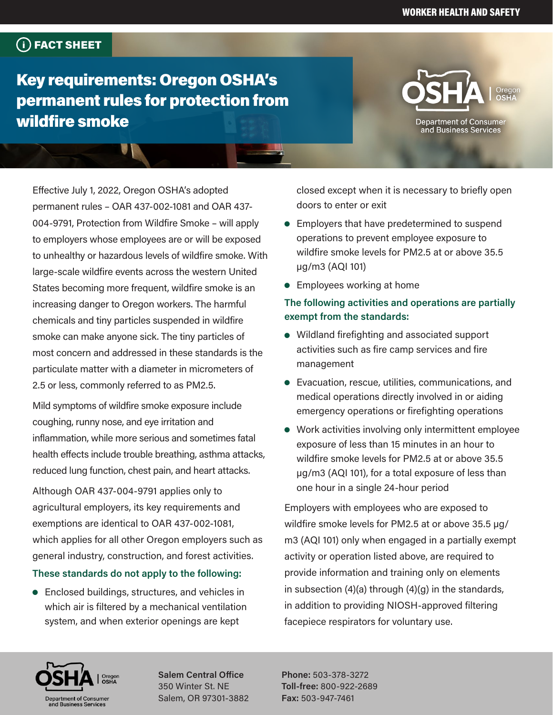## FACT SHEET

Key requirements: Oregon OSHA's permanent rules for protection from wildfire smoke

# **Department of Consumer**

and Business Services

Effective July 1, 2022, Oregon OSHA's adopted permanent rules – OAR 437-002-1081 and OAR 437- 004-9791, Protection from Wildfire Smoke – will apply to employers whose employees are or will be exposed to unhealthy or hazardous levels of wildfire smoke. With large-scale wildfire events across the western United States becoming more frequent, wildfire smoke is an increasing danger to Oregon workers. The harmful chemicals and tiny particles suspended in wildfire smoke can make anyone sick. The tiny particles of most concern and addressed in these standards is the particulate matter with a diameter in micrometers of 2.5 or less, commonly referred to as PM2.5.

Mild symptoms of wildfire smoke exposure include coughing, runny nose, and eye irritation and inflammation, while more serious and sometimes fatal health effects include trouble breathing, asthma attacks, reduced lung function, chest pain, and heart attacks.

Although OAR 437-004-9791 applies only to agricultural employers, its key requirements and exemptions are identical to OAR 437-002-1081, which applies for all other Oregon employers such as general industry, construction, and forest activities.

#### **These standards do not apply to the following:**

 $\bullet$  Enclosed buildings, structures, and vehicles in which air is filtered by a mechanical ventilation system, and when exterior openings are kept

closed except when it is necessary to briefly open doors to enter or exit

- **•** Employers that have predetermined to suspend operations to prevent employee exposure to wildfire smoke levels for PM2.5 at or above 35.5 µg/m3 (AQI 101)
- $\bullet$  Employees working at home

#### **The following activities and operations are partially exempt from the standards:**

- $\bullet$  Wildland firefighting and associated support activities such as fire camp services and fire management
- Evacuation, rescue, utilities, communications, and medical operations directly involved in or aiding emergency operations or firefighting operations
- $\bullet$  Work activities involving only intermittent employee exposure of less than 15 minutes in an hour to wildfire smoke levels for PM2.5 at or above 35.5 µg/m3 (AQI 101), for a total exposure of less than one hour in a single 24-hour period

Employers with employees who are exposed to wildfire smoke levels for PM2.5 at or above 35.5 µg/ m3 (AQI 101) only when engaged in a partially exempt activity or operation listed above, are required to provide information and training only on elements in subsection (4)(a) through (4)(g) in the standards, in addition to providing NIOSH-approved filtering facepiece respirators for voluntary use.



**Salem Central Office** 350 Winter St. NE Salem, OR 97301-3882

**Phone:** 503-378-3272 **Toll-free:** 800-922-2689 **Fax:** 503-947-7461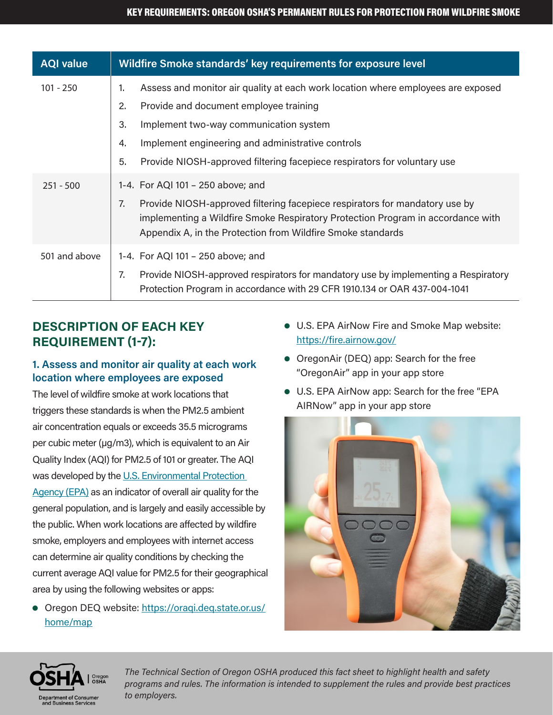| <b>AQI value</b> | Wildfire Smoke standards' key requirements for exposure level                                                                                                                                                                                                            |
|------------------|--------------------------------------------------------------------------------------------------------------------------------------------------------------------------------------------------------------------------------------------------------------------------|
| $101 - 250$      | Assess and monitor air quality at each work location where employees are exposed<br>1.<br>Provide and document employee training<br>2.                                                                                                                                   |
|                  | Implement two-way communication system<br>3.<br>Implement engineering and administrative controls<br>4.<br>Provide NIOSH-approved filtering facepiece respirators for voluntary use<br>5.                                                                                |
| $251 - 500$      | 1-4. For AQI 101 - 250 above; and<br>Provide NIOSH-approved filtering facepiece respirators for mandatory use by<br>7.<br>implementing a Wildfire Smoke Respiratory Protection Program in accordance with<br>Appendix A, in the Protection from Wildfire Smoke standards |
| 501 and above    | 1-4. For AQI 101 - 250 above; and<br>Provide NIOSH-approved respirators for mandatory use by implementing a Respiratory<br>7.<br>Protection Program in accordance with 29 CFR 1910.134 or OAR 437-004-1041                                                               |

## **DESCRIPTION OF EACH KEY REQUIREMENT (1-7):**

#### **1. Assess and monitor air quality at each work location where employees are exposed**

The level of wildfire smoke at work locations that triggers these standards is when the PM2.5 ambient air concentration equals or exceeds 35.5 micrograms per cubic meter (µg/m3), which is equivalent to an Air Quality Index (AQI) for PM2.5 of 101 or greater. The AQI was developed by the U.S. Environmental Protection [Agency \(EPA\)](https://www.airnow.gov/aqi/aqi-basics/) as an indicator of overall air quality for the general population, and is largely and easily accessible by the public. When work locations are affected by wildfire smoke, employers and employees with internet access can determine air quality conditions by checking the current average AQI value for PM2.5 for their geographical area by using the following websites or apps:

**• Oregon DEQ website: [https://oraqi.deq.state.or.us/](https://oraqi.deq.state.or.us/home/map)** [home/map](https://oraqi.deq.state.or.us/home/map)

- $\bullet$  U.S. EPA AirNow Fire and Smoke Map website: <https://fire.airnow.gov/>
- OregonAir (DEQ) app: Search for the free "OregonAir" app in your app store
- $\bullet$  U.S. EPA AirNow app: Search for the free "EPA AIRNow" app in your app store



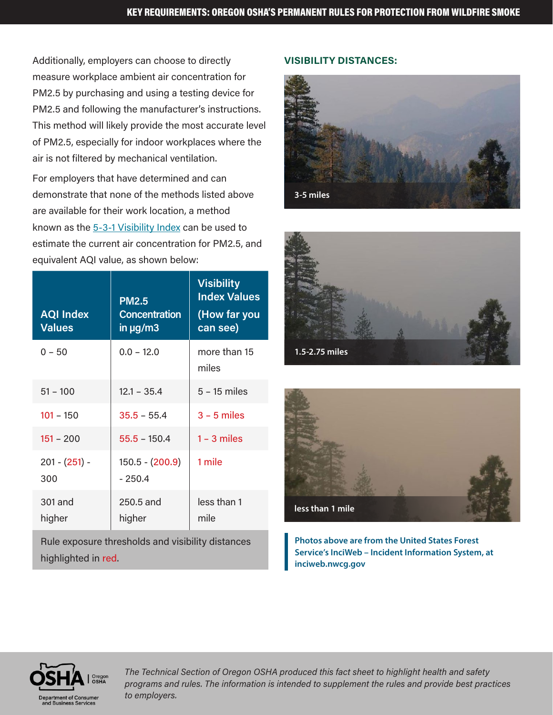Additionally, employers can choose to directly measure workplace ambient air concentration for PM2.5 by purchasing and using a testing device for PM2.5 and following the manufacturer's instructions. This method will likely provide the most accurate level of PM2.5, especially for indoor workplaces where the air is not filtered by mechanical ventilation.

For employers that have determined and can demonstrate that none of the methods listed above are available for their work location, a method known as the [5-3-1 Visibility Index](https://www.oregon.gov/deq/wildfires/Pages/Using-Visibility-to-Estimate-Health-Effects.aspx) can be used to estimate the current air concentration for PM2.5, and equivalent AQI value, as shown below:

| <b>AQI Index</b><br><b>Values</b>                 | <b>PM2.5</b><br><b>Concentration</b><br>in $\mu$ g/m3 | <b>Visibility</b><br><b>Index Values</b><br>(How far you<br>can see) |  |
|---------------------------------------------------|-------------------------------------------------------|----------------------------------------------------------------------|--|
| $0 - 50$                                          | $0.0 - 12.0$                                          | more than 15<br>miles                                                |  |
| $51 - 100$                                        | $12.1 - 35.4$                                         | $5 - 15$ miles                                                       |  |
| $101 - 150$                                       | $35.5 - 55.4$                                         | $3 - 5$ miles                                                        |  |
| $151 - 200$                                       | $55.5 - 150.4$                                        | $1 - 3$ miles                                                        |  |
| $201 - (251) -$<br>300                            | $150.5 - (200.9)$<br>$-250.4$                         | 1 mile                                                               |  |
| 301 and<br>higher                                 | 250.5 and<br>higher                                   | less than 1<br>mile                                                  |  |
| Rule exposure thresholds and visibility distances |                                                       |                                                                      |  |

#### **VISIBILITY DISTANCES:**







**Photos above are from the United States Forest Service's InciWeb – Incident Information System, at inciweb.nwcg.gov**



highlighted in red.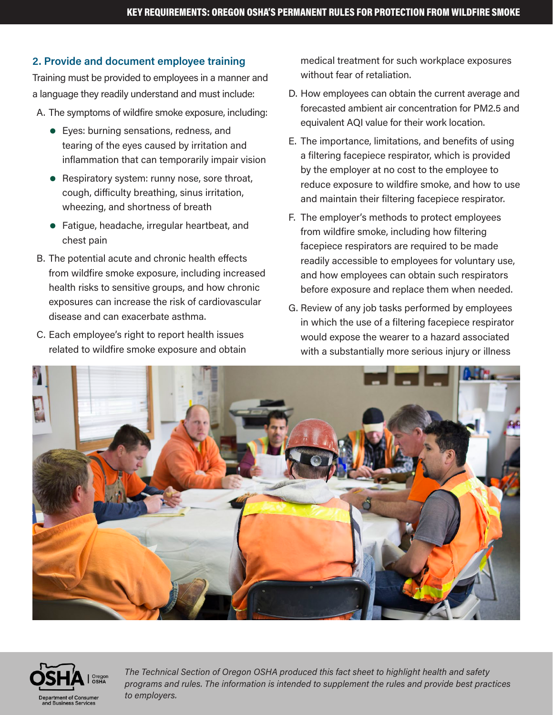#### **2. Provide and document employee training**

Training must be provided to employees in a manner and a language they readily understand and must include:

- A. The symptoms of wildfire smoke exposure, including:
	- Eyes: burning sensations, redness, and tearing of the eyes caused by irritation and inflammation that can temporarily impair vision
	- $\bullet$  Respiratory system: runny nose, sore throat, cough, difficulty breathing, sinus irritation, wheezing, and shortness of breath
	- Fatigue, headache, irregular heartbeat, and chest pain
- B. The potential acute and chronic health effects from wildfire smoke exposure, including increased health risks to sensitive groups, and how chronic exposures can increase the risk of cardiovascular disease and can exacerbate asthma.
- C. Each employee's right to report health issues related to wildfire smoke exposure and obtain

medical treatment for such workplace exposures without fear of retaliation.

- D. How employees can obtain the current average and forecasted ambient air concentration for PM2.5 and equivalent AQI value for their work location.
- E. The importance, limitations, and benefits of using a filtering facepiece respirator, which is provided by the employer at no cost to the employee to reduce exposure to wildfire smoke, and how to use and maintain their filtering facepiece respirator.
- F. The employer's methods to protect employees from wildfire smoke, including how filtering facepiece respirators are required to be made readily accessible to employees for voluntary use, and how employees can obtain such respirators before exposure and replace them when needed.
- G. Review of any job tasks performed by employees in which the use of a filtering facepiece respirator would expose the wearer to a hazard associated with a substantially more serious injury or illness



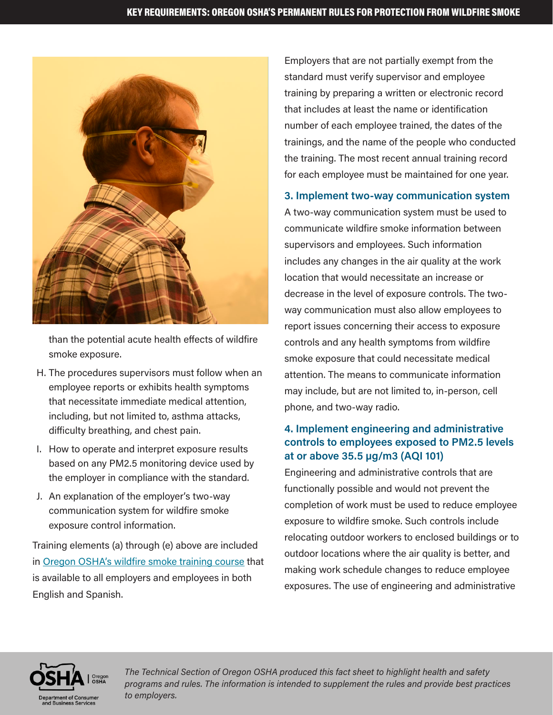

than the potential acute health effects of wildfire smoke exposure.

- H. The procedures supervisors must follow when an employee reports or exhibits health symptoms that necessitate immediate medical attention, including, but not limited to, asthma attacks, difficulty breathing, and chest pain.
- I. How to operate and interpret exposure results based on any PM2.5 monitoring device used by the employer in compliance with the standard.
- J. An explanation of the employer's two-way communication system for wildfire smoke exposure control information.

Training elements (a) through (e) above are included in [Oregon OSHA's wildfire smoke training course](https://osha.oregon.gov/Pages/topics/wildfires.aspx) that is available to all employers and employees in both English and Spanish.

Employers that are not partially exempt from the standard must verify supervisor and employee training by preparing a written or electronic record that includes at least the name or identification number of each employee trained, the dates of the trainings, and the name of the people who conducted the training. The most recent annual training record for each employee must be maintained for one year.

#### **3. Implement two-way communication system**

A two-way communication system must be used to communicate wildfire smoke information between supervisors and employees. Such information includes any changes in the air quality at the work location that would necessitate an increase or decrease in the level of exposure controls. The twoway communication must also allow employees to report issues concerning their access to exposure controls and any health symptoms from wildfire smoke exposure that could necessitate medical attention. The means to communicate information may include, but are not limited to, in-person, cell phone, and two-way radio.

#### **4. Implement engineering and administrative controls to employees exposed to PM2.5 levels at or above 35.5 µg/m3 (AQI 101)**

Engineering and administrative controls that are functionally possible and would not prevent the completion of work must be used to reduce employee exposure to wildfire smoke. Such controls include relocating outdoor workers to enclosed buildings or to outdoor locations where the air quality is better, and making work schedule changes to reduce employee exposures. The use of engineering and administrative